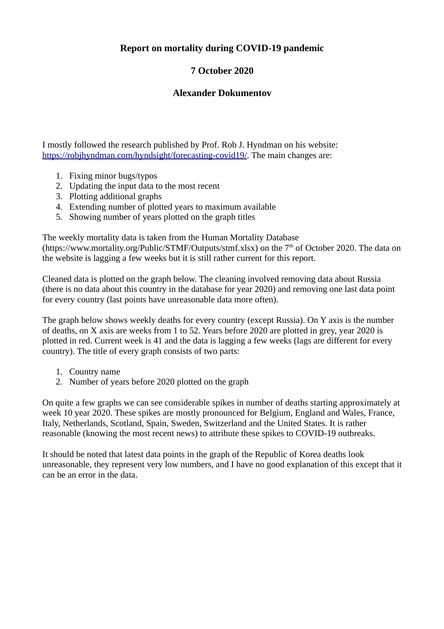## **Report on mortality during COVID-19 pandemic**

## **7 October 2020**

## **Alexander Dokumentov**

I mostly followed the research published by Prof. Rob J. Hyndman on his website: [https://robjhyndman.com/hyndsight/forecasting-covid19/.](https://robjhyndman.com/hyndsight/forecasting-covid19/) The main changes are:

- 1. Fixing minor bugs/typos
- 2. Updating the input data to the most recent
- 3. Plotting additional graphs
- 4. Extending number of plotted years to maximum available
- 5. Showing number of years plotted on the graph titles

The weekly mortality data is taken from the Human Mortality Database (https://www.mortality.org/Public/STMF/Outputs/stmf.xlsx) on the  $7<sup>th</sup>$  of October 2020. The data on the website is lagging a few weeks but it is still rather current for this report.

Cleaned data is plotted on the graph below. The cleaning involved removing data about Russia (there is no data about this country in the database for year 2020) and removing one last data point for every country (last points have unreasonable data more often).

The graph below shows weekly deaths for every country (except Russia). On Y axis is the number of deaths, on X axis are weeks from 1 to 52. Years before 2020 are plotted in grey, year 2020 is plotted in red. Current week is 41 and the data is lagging a few weeks (lags are different for every country). The title of every graph consists of two parts:

- 1. Country name
- 2. Number of years before 2020 plotted on the graph

On quite a few graphs we can see considerable spikes in number of deaths starting approximately at week 10 year 2020. These spikes are mostly pronounced for Belgium, England and Wales, France, Italy, Netherlands, Scotland, Spain, Sweden, Switzerland and the United States. It is rather reasonable (knowing the most recent news) to attribute these spikes to COVID-19 outbreaks.

It should be noted that latest data points in the graph of the Republic of Korea deaths look unreasonable, they represent very low numbers, and I have no good explanation of this except that it can be an error in the data.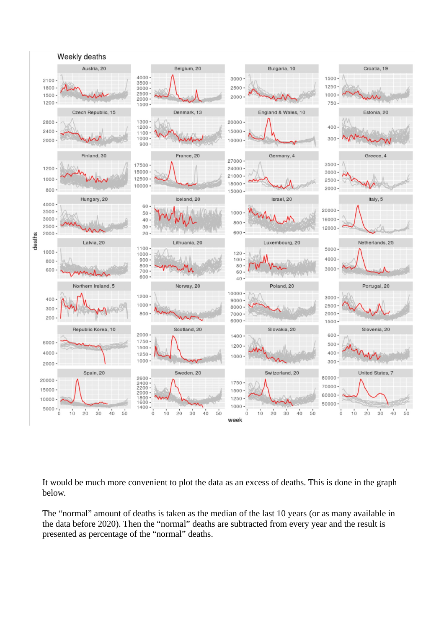

It would be much more convenient to plot the data as an excess of deaths. This is done in the graph below.

The "normal" amount of deaths is taken as the median of the last 10 years (or as many available in the data before 2020). Then the "normal" deaths are subtracted from every year and the result is presented as percentage of the "normal" deaths.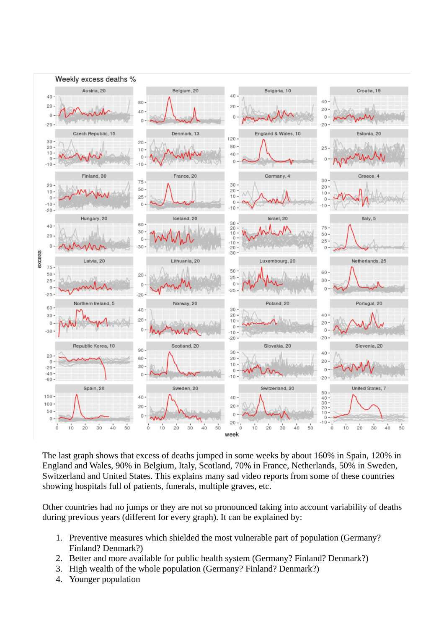

The last graph shows that excess of deaths jumped in some weeks by about 160% in Spain, 120% in England and Wales, 90% in Belgium, Italy, Scotland, 70% in France, Netherlands, 50% in Sweden, Switzerland and United States. This explains many sad video reports from some of these countries showing hospitals full of patients, funerals, multiple graves, etc.

Other countries had no jumps or they are not so pronounced taking into account variability of deaths during previous years (different for every graph). It can be explained by:

- 1. Preventive measures which shielded the most vulnerable part of population (Germany? Finland? Denmark?)
- 2. Better and more available for public health system (Germany? Finland? Denmark?)
- 3. High wealth of the whole population (Germany? Finland? Denmark?)
- 4. Younger population